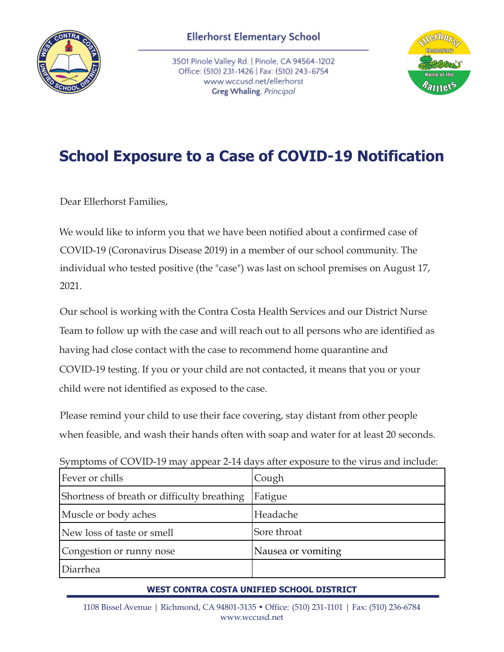

3501 Pinole Valley Rd. | Pinole, CA 94564-1202 Office: (510) 231-1426 | Fax: (510) 243-6754 www.wccusd.net/ellerhorst Greg Whaling, Principal



## **School Exposure to a Case of COVID-19 Notification**

Dear Ellerhorst Families,

We would like to inform you that we have been notified about a confirmed case of COVID-19 (Coronavirus Disease 2019) in a member of our school community. The individual who tested positive (the "case") was last on school premises on August 17, 2021.

Our school is working with the Contra Costa Health Services and our District Nurse Team to follow up with the case and will reach out to all persons who are identified as having had close contact with the case to recommend home quarantine and COVID-19 testing. If you or your child are not contacted, it means that you or your child were not identified as exposed to the case.

Please remind your child to use their face covering, stay distant from other people when feasible, and wash their hands often with soap and water for at least 20 seconds.

| $\sim$ , in the correct that $\sim$ 2.5 mag appear $\equiv$ 11 cm/s and copyright to the structure memorial |                    |
|-------------------------------------------------------------------------------------------------------------|--------------------|
| Fever or chills                                                                                             | Cough              |
| Shortness of breath or difficulty breathing                                                                 | Fatigue            |
| Muscle or body aches                                                                                        | Headache           |
| New loss of taste or smell                                                                                  | Sore throat        |
| Congestion or runny nose                                                                                    | Nausea or vomiting |
| Diarrhea                                                                                                    |                    |

Symptoms of COVID-19 may appear 2-14 days after exposure to the virus and include:

## **WEST CONTRA COSTA UNIFIED SCHOOL DISTRICT**

1108 Bissel Avenue | Richmond, CA 94801-3135 • Office: (510) 231-1101 | Fax: (510) 236-6784 www.wccusd.net